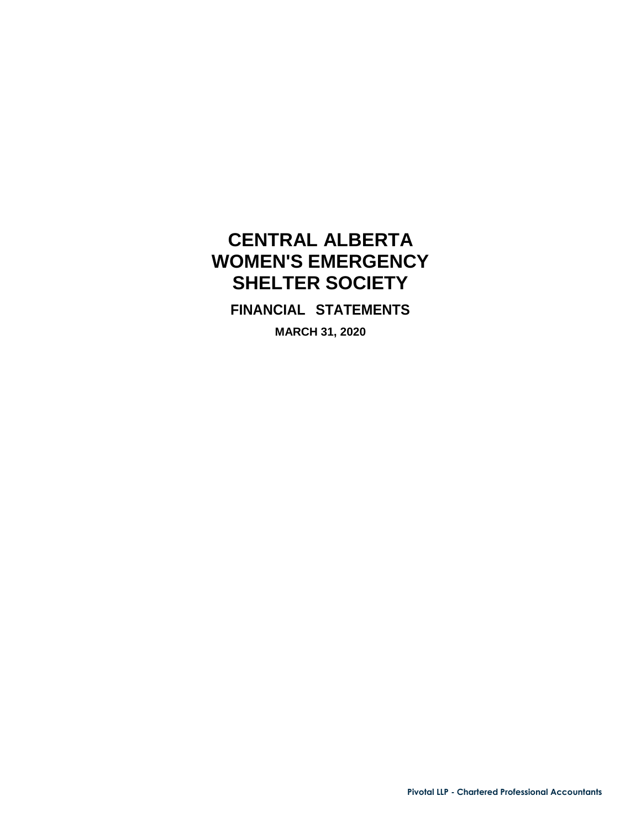<span id="page-0-0"></span>**FINANCIAL STATEMENTS**

**MARCH 31, 2020**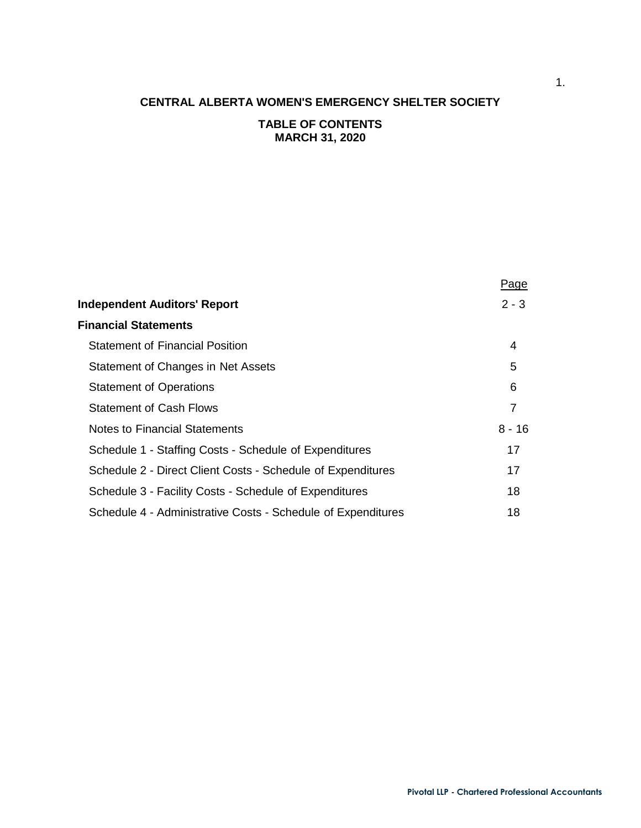# **TABLE OF CONTENTS MARCH 31, 2020**

|                                                              | <u>Page</u> |
|--------------------------------------------------------------|-------------|
| <b>Independent Auditors' Report</b>                          | $2 - 3$     |
| <b>Financial Statements</b>                                  |             |
| <b>Statement of Financial Position</b>                       | 4           |
| Statement of Changes in Net Assets                           | 5           |
| <b>Statement of Operations</b>                               | 6           |
| <b>Statement of Cash Flows</b>                               | 7           |
| <b>Notes to Financial Statements</b>                         | $8 - 16$    |
| Schedule 1 - Staffing Costs - Schedule of Expenditures       | 17          |
| Schedule 2 - Direct Client Costs - Schedule of Expenditures  | 17          |
| Schedule 3 - Facility Costs - Schedule of Expenditures       | 18          |
| Schedule 4 - Administrative Costs - Schedule of Expenditures | 18          |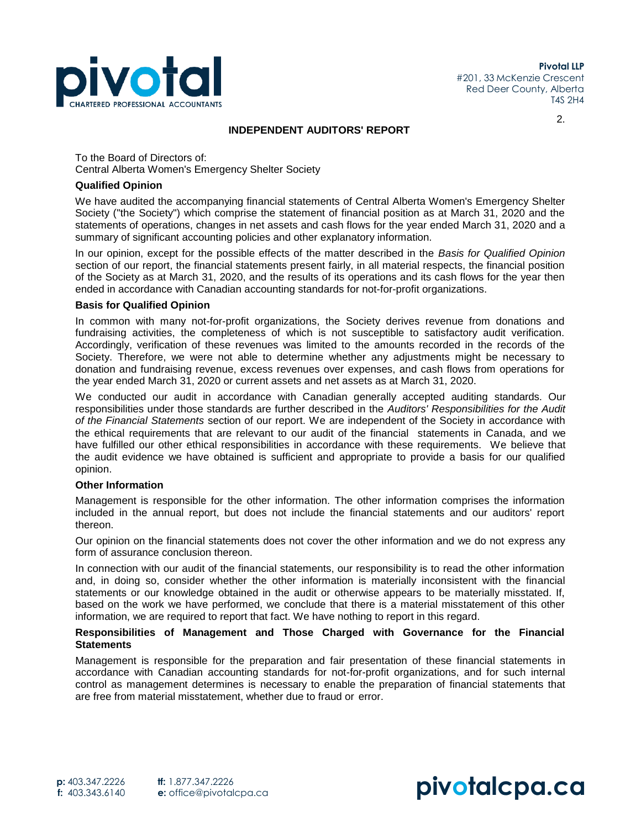

2.

#### **INDEPENDENT AUDITORS' REPORT**

To the Board of Directors of: Central Alberta Women's Emergency Shelter Society

#### **Qualified Opinion**

We have audited the accompanying financial statements of Central Alberta Women's Emergency Shelter Society ("the Society") which comprise the statement of financial position as at March 31, 2020 and the statements of operations, changes in net assets and cash flows for the year ended March 31, 2020 and a summary of significant accounting policies and other explanatory information.

In our opinion, except for the possible effects of the matter described in the *Basis for Qualified Opinion*  section of our report, the financial statements present fairly, in all material respects, the financial position of the Society as at March 31, 2020, and the results of its operations and its cash flows for the year then ended in accordance with Canadian accounting standards for not-for-profit organizations.

#### **Basis for Qualified Opinion**

In common with many not-for-profit organizations, the Society derives revenue from donations and fundraising activities, the completeness of which is not susceptible to satisfactory audit verification. Accordingly, verification of these revenues was limited to the amounts recorded in the records of the Society. Therefore, we were not able to determine whether any adjustments might be necessary to donation and fundraising revenue, excess revenues over expenses, and cash flows from operations for the year ended March 31, 2020 or current assets and net assets as at March 31, 2020.

We conducted our audit in accordance with Canadian generally accepted auditing standards. Our responsibilities under those standards are further described in the *Auditors' Responsibilities for the Audit of the Financial Statements* section of our report. We are independent of the Society in accordance with the ethical requirements that are relevant to our audit of the financial statements in Canada, and we have fulfilled our other ethical responsibilities in accordance with these requirements. We believe that the audit evidence we have obtained is sufficient and appropriate to provide a basis for our qualified opinion.

#### **Other Information**

Management is responsible for the other information. The other information comprises the information included in the annual report, but does not include the financial statements and our auditors' report thereon.

Our opinion on the financial statements does not cover the other information and we do not express any form of assurance conclusion thereon.

In connection with our audit of the financial statements, our responsibility is to read the other information and, in doing so, consider whether the other information is materially inconsistent with the financial statements or our knowledge obtained in the audit or otherwise appears to be materially misstated. If, based on the work we have performed, we conclude that there is a material misstatement of this other information, we are required to report that fact. We have nothing to report in this regard.

#### **Responsibilities of Management and Those Charged with Governance for the Financial Statements**

Management is responsible for the preparation and fair presentation of these financial statements in accordance with Canadian accounting standards for not-for-profit organizations, and for such internal control as management determines is necessary to enable the preparation of financial statements that are free from material misstatement, whether due to fraud or error.

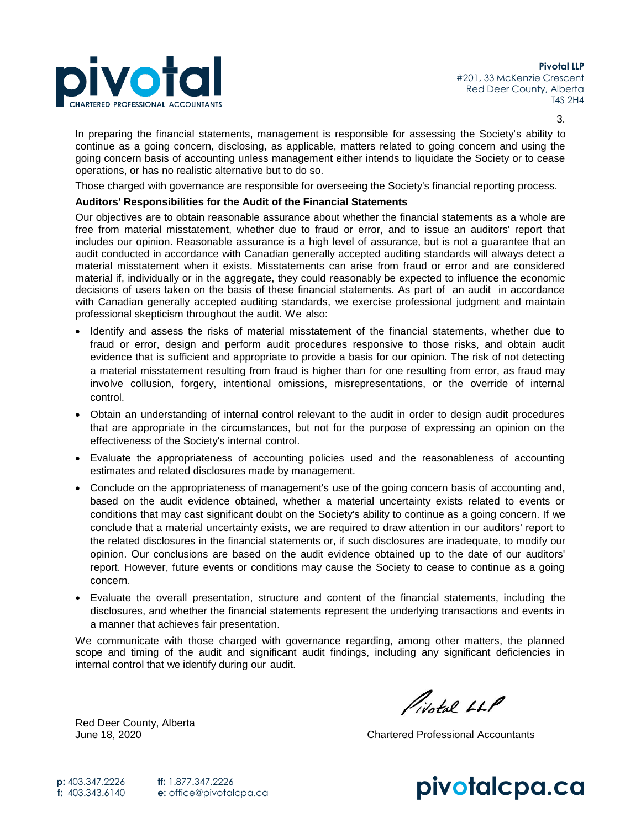

3.

In preparing the financial statements, management is responsible for assessing the Society's ability to continue as a going concern, disclosing, as applicable, matters related to going concern and using the going concern basis of accounting unless management either intends to liquidate the Society or to cease operations, or has no realistic alternative but to do so.

Those charged with governance are responsible for overseeing the Society's financial reporting process.

#### **Auditors' Responsibilities for the Audit of the Financial Statements**

Our objectives are to obtain reasonable assurance about whether the financial statements as a whole are free from material misstatement, whether due to fraud or error, and to issue an auditors' report that includes our opinion. Reasonable assurance is a high level of assurance, but is not a guarantee that an audit conducted in accordance with Canadian generally accepted auditing standards will always detect a material misstatement when it exists. Misstatements can arise from fraud or error and are considered material if, individually or in the aggregate, they could reasonably be expected to influence the economic decisions of users taken on the basis of these financial statements. As part of an audit in accordance with Canadian generally accepted auditing standards, we exercise professional judgment and maintain professional skepticism throughout the audit. We also:

- Identify and assess the risks of material misstatement of the financial statements, whether due to fraud or error, design and perform audit procedures responsive to those risks, and obtain audit evidence that is sufficient and appropriate to provide a basis for our opinion. The risk of not detecting a material misstatement resulting from fraud is higher than for one resulting from error, as fraud may involve collusion, forgery, intentional omissions, misrepresentations, or the override of internal control.
- Obtain an understanding of internal control relevant to the audit in order to design audit procedures that are appropriate in the circumstances, but not for the purpose of expressing an opinion on the effectiveness of the Society's internal control.
- Evaluate the appropriateness of accounting policies used and the reasonableness of accounting estimates and related disclosures made by management.
- Conclude on the appropriateness of management's use of the going concern basis of accounting and, based on the audit evidence obtained, whether a material uncertainty exists related to events or conditions that may cast significant doubt on the Society's ability to continue as a going concern. If we conclude that a material uncertainty exists, we are required to draw attention in our auditors' report to the related disclosures in the financial statements or, if such disclosures are inadequate, to modify our opinion. Our conclusions are based on the audit evidence obtained up to the date of our auditors' report. However, future events or conditions may cause the Society to cease to continue as a going concern.
- Evaluate the overall presentation, structure and content of the financial statements, including the disclosures, and whether the financial statements represent the underlying transactions and events in a manner that achieves fair presentation.

We communicate with those charged with governance regarding, among other matters, the planned scope and timing of the audit and significant audit findings, including any significant deficiencies in internal control that we identify during our audit.

Red Deer County, Alberta

Pivotal LLP

June 18, 2020 Chartered Professional Accountants

**pivotalcpa.ca p:** 403.347.2226 **f:** 403.343.6140 **tf:** 1.877.347.2226 **e:** [office@pivotalcpa.ca](mailto:office@pivotalcpa.ca)

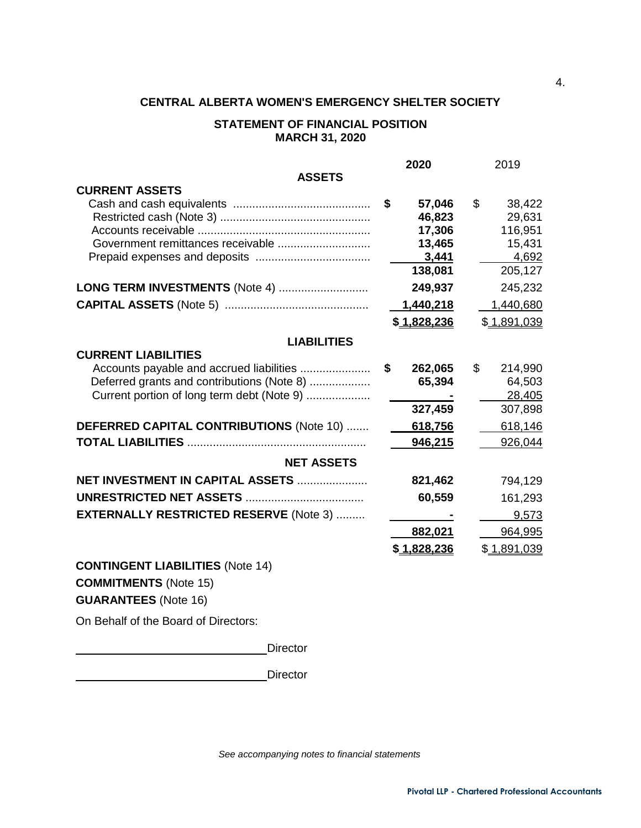#### **STATEMENT OF FINANCIAL POSITION MARCH 31, 2020**

|                                                | 2020          | 2019          |
|------------------------------------------------|---------------|---------------|
| <b>ASSETS</b>                                  |               |               |
| <b>CURRENT ASSETS</b>                          |               |               |
|                                                | \$<br>57,046  | \$<br>38,422  |
|                                                | 46,823        | 29,631        |
|                                                | 17,306        | 116,951       |
| Government remittances receivable              | 13,465        | 15,431        |
|                                                | 3,441         | 4,692         |
|                                                | 138,081       | 205,127       |
| LONG TERM INVESTMENTS (Note 4)                 | 249,937       | 245,232       |
|                                                | 1,440,218     | 1,440,680     |
|                                                | \$1,828,236   | \$1,891,039   |
| <b>LIABILITIES</b>                             |               |               |
| <b>CURRENT LIABILITIES</b>                     |               |               |
| Accounts payable and accrued liabilities       | \$<br>262,065 | \$<br>214,990 |
| Deferred grants and contributions (Note 8)     | 65,394        | 64,503        |
| Current portion of long term debt (Note 9)     |               | 28,405        |
|                                                | 327,459       | 307,898       |
| DEFERRED CAPITAL CONTRIBUTIONS (Note 10)       | 618,756       | 618,146       |
|                                                | 946,215       | 926,044       |
|                                                |               |               |
| <b>NET ASSETS</b>                              |               |               |
| NET INVESTMENT IN CAPITAL ASSETS               | 821,462       | 794,129       |
|                                                | 60,559        | 161,293       |
| <b>EXTERNALLY RESTRICTED RESERVE (Note 3) </b> |               | 9,573         |
|                                                | 882,021       | 964,995       |
|                                                | \$1,828,236   | \$1,891,039   |
| CONTINGENT LIADILITIES (Note 4.4)              |               |               |

**CONTINGENT LIABILITIES** (Note 14) **COMMITMENTS** (Note 15) **GUARANTEES** (Note 16)

On Behalf of the Board of Directors:

**Director** 

**Director** Director

*See accompanying notes to financial statements*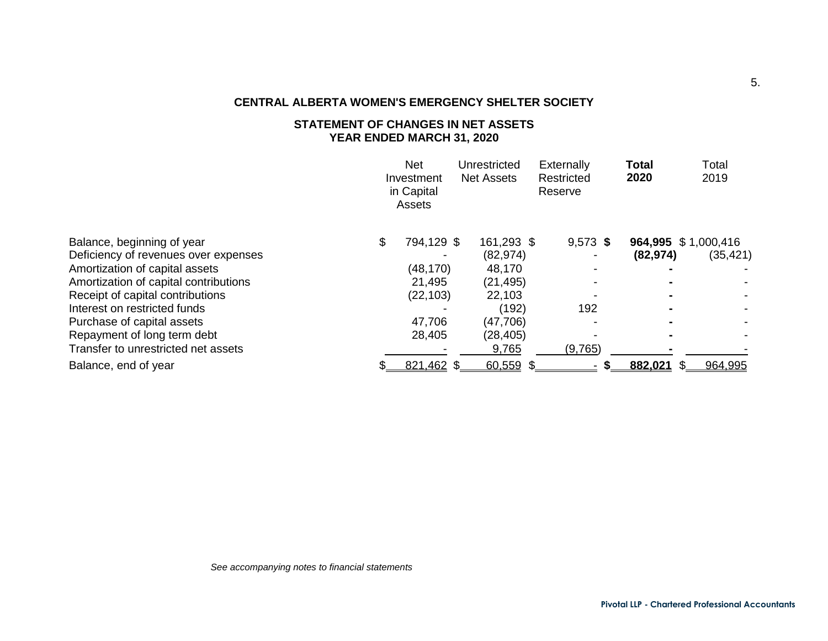# **STATEMENT OF CHANGES IN NET ASSETS YEAR ENDED MARCH 31, 2020**

|                                       | <b>Net</b><br>Investment<br>in Capital<br>Assets | Unrestricted<br><b>Net Assets</b> | Externally<br>Restricted<br>Reserve | <b>Total</b><br>2020 | Total<br>2019       |
|---------------------------------------|--------------------------------------------------|-----------------------------------|-------------------------------------|----------------------|---------------------|
| Balance, beginning of year            | \$<br>794,129 \$                                 | 161,293 \$                        | $9,573$ \$                          |                      | 964,995 \$1,000,416 |
| Deficiency of revenues over expenses  |                                                  | (82, 974)                         |                                     | (82, 974)            | (35, 421)           |
| Amortization of capital assets        | (48, 170)                                        | 48,170                            |                                     |                      |                     |
| Amortization of capital contributions | 21,495                                           | (21, 495)                         |                                     |                      |                     |
| Receipt of capital contributions      | (22, 103)                                        | 22,103                            |                                     |                      |                     |
| Interest on restricted funds          |                                                  | (192)                             | 192                                 |                      |                     |
| Purchase of capital assets            | 47,706                                           | (47,706)                          |                                     |                      |                     |
| Repayment of long term debt           | 28,405                                           | (28, 405)                         |                                     |                      |                     |
| Transfer to unrestricted net assets   |                                                  | 9,765                             | (9,765)                             |                      |                     |
| Balance, end of year                  | 821,462 \$                                       | $60,559$ \$                       |                                     | 882.021              | 964,995             |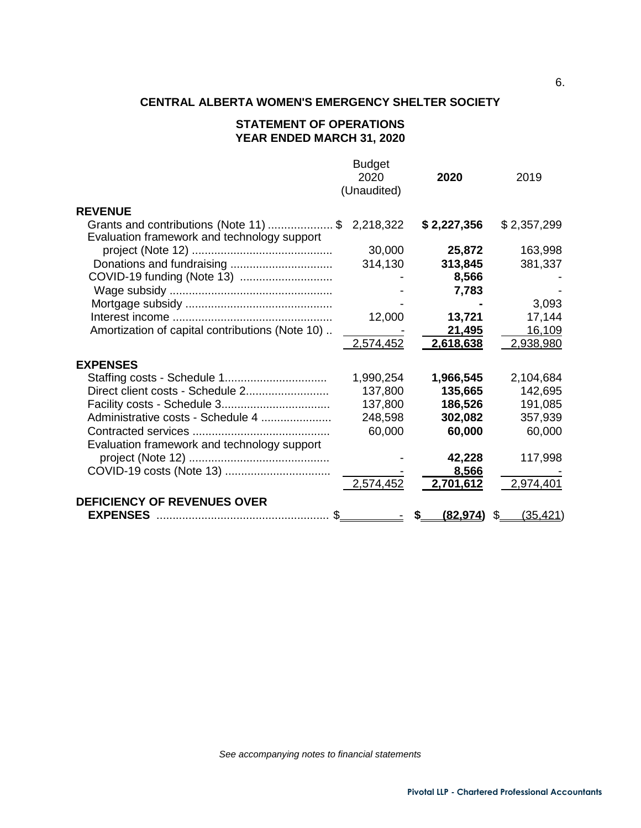# **STATEMENT OF OPERATIONS YEAR ENDED MARCH 31, 2020**

|                                                                                      | <b>Budget</b> |             |                 |
|--------------------------------------------------------------------------------------|---------------|-------------|-----------------|
|                                                                                      | 2020          | 2020        | 2019            |
|                                                                                      | (Unaudited)   |             |                 |
| <b>REVENUE</b>                                                                       |               |             |                 |
| Grants and contributions (Note 11) \$<br>Evaluation framework and technology support | 2,218,322     | \$2,227,356 | \$2,357,299     |
|                                                                                      | 30,000        | 25,872      | 163,998         |
| Donations and fundraising                                                            | 314,130       | 313,845     | 381,337         |
| COVID-19 funding (Note 13)                                                           |               | 8,566       |                 |
|                                                                                      |               | 7,783       |                 |
|                                                                                      |               |             | 3,093           |
|                                                                                      | 12,000        | 13,721      | 17,144          |
| Amortization of capital contributions (Note 10)                                      |               | 21,495      | 16,109          |
|                                                                                      | 2,574,452     | 2,618,638   | 2,938,980       |
| <b>EXPENSES</b>                                                                      |               |             |                 |
|                                                                                      | 1,990,254     | 1,966,545   | 2,104,684       |
| Direct client costs - Schedule 2                                                     | 137,800       | 135,665     | 142,695         |
|                                                                                      | 137,800       | 186,526     | 191,085         |
| Administrative costs - Schedule 4                                                    | 248,598       | 302,082     | 357,939         |
|                                                                                      | 60,000        | 60,000      | 60,000          |
| Evaluation framework and technology support                                          |               |             |                 |
|                                                                                      |               | 42,228      | 117,998         |
|                                                                                      |               | 8,566       |                 |
|                                                                                      | 2,574,452     | 2,701,612   | 2,974,401       |
| <b>DEFICIENCY OF REVENUES OVER</b>                                                   |               |             |                 |
| <b>EXPENSES</b><br>\$.                                                               |               | (82,974)    | \$.<br>(35,421) |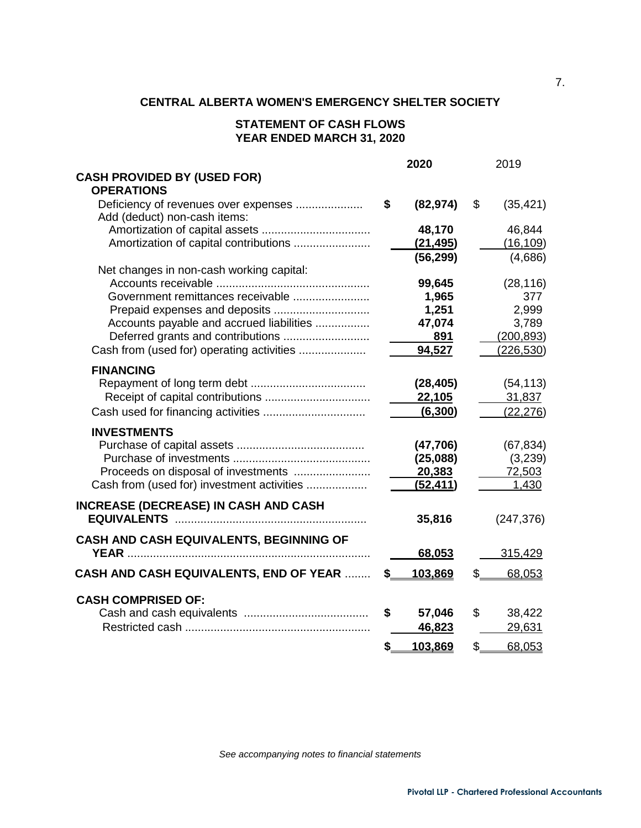# **STATEMENT OF CASH FLOWS YEAR ENDED MARCH 31, 2020**

|                                                                      | 2020            | 2019            |
|----------------------------------------------------------------------|-----------------|-----------------|
| <b>CASH PROVIDED BY (USED FOR)</b>                                   |                 |                 |
| <b>OPERATIONS</b>                                                    |                 |                 |
| Deficiency of revenues over expenses<br>Add (deduct) non-cash items: | \$<br>(82, 974) | \$<br>(35, 421) |
|                                                                      | 48,170          | 46,844          |
| Amortization of capital contributions                                | (21, 495)       | (16, 109)       |
|                                                                      | (56, 299)       | (4,686)         |
| Net changes in non-cash working capital:                             |                 |                 |
|                                                                      | 99,645          | (28, 116)       |
| Government remittances receivable                                    | 1,965           | 377             |
|                                                                      | 1,251           | 2,999           |
| Accounts payable and accrued liabilities                             | 47,074          | 3,789           |
| Deferred grants and contributions                                    | 891             | (200, 893)      |
| Cash from (used for) operating activities                            | 94,527          | (226, 530)      |
|                                                                      |                 |                 |
| <b>FINANCING</b>                                                     |                 |                 |
|                                                                      | (28, 405)       | (54, 113)       |
|                                                                      | 22,105          | 31,837          |
|                                                                      | (6, 300)        | (22, 276)       |
| <b>INVESTMENTS</b>                                                   |                 |                 |
|                                                                      | (47,706)        | (67, 834)       |
|                                                                      | (25,088)        | (3,239)         |
| Proceeds on disposal of investments                                  | 20,383          | 72,503          |
| Cash from (used for) investment activities                           | (52, 411)       | 1,430           |
|                                                                      |                 |                 |
| <b>INCREASE (DECREASE) IN CASH AND CASH</b>                          |                 |                 |
|                                                                      | 35,816          | (247, 376)      |
| CASH AND CASH EQUIVALENTS, BEGINNING OF                              |                 |                 |
|                                                                      | 68,053          | 315,429         |
|                                                                      |                 |                 |
| <b>CASH AND CASH EQUIVALENTS, END OF YEAR </b>                       | \$<br>103,869   | \$<br>68,053    |
| <b>CASH COMPRISED OF:</b>                                            |                 |                 |
|                                                                      | \$<br>57,046    | \$<br>38,422    |
|                                                                      | 46,823          | 29,631          |
|                                                                      |                 |                 |
|                                                                      | \$<br>103,869   | \$<br>68,053    |

*See accompanying notes to financial statements*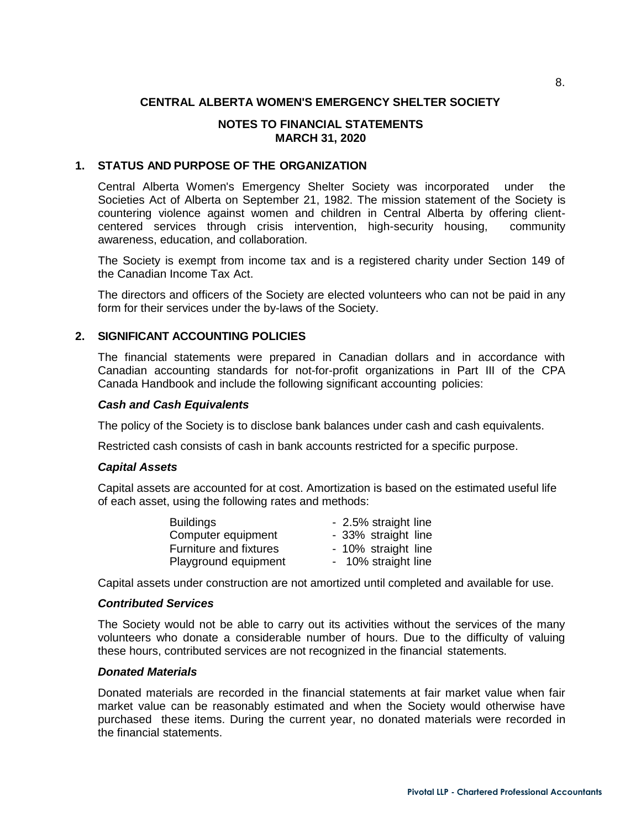## **NOTES TO FINANCIAL STATEMENTS MARCH 31, 2020**

#### **1. STATUS AND PURPOSE OF THE ORGANIZATION**

Central Alberta Women's Emergency Shelter Society was incorporated under the Societies Act of Alberta on September 21, 1982. The mission statement of the Society is countering violence against women and children in Central Alberta by offering clientcentered services through crisis intervention, high-security housing, community awareness, education, and collaboration.

The Society is exempt from income tax and is a registered charity under Section 149 of the Canadian Income Tax Act.

The directors and officers of the Society are elected volunteers who can not be paid in any form for their services under the by-laws of the Society.

# **2. SIGNIFICANT ACCOUNTING POLICIES**

The financial statements were prepared in Canadian dollars and in accordance with Canadian accounting standards for not-for-profit organizations in Part III of the CPA Canada Handbook and include the following significant accounting policies:

#### *Cash and Cash Equivalents*

The policy of the Society is to disclose bank balances under cash and cash equivalents.

Restricted cash consists of cash in bank accounts restricted for a specific purpose.

#### *Capital Assets*

Capital assets are accounted for at cost. Amortization is based on the estimated useful life of each asset, using the following rates and methods:

| <b>Buildings</b>       | - 2.5% straight line |
|------------------------|----------------------|
| Computer equipment     | - 33% straight line  |
| Furniture and fixtures | - 10% straight line  |
| Playground equipment   | - 10% straight line  |

Capital assets under construction are not amortized until completed and available for use.

#### *Contributed Services*

The Society would not be able to carry out its activities without the services of the many volunteers who donate a considerable number of hours. Due to the difficulty of valuing these hours, contributed services are not recognized in the financial statements.

#### *Donated Materials*

Donated materials are recorded in the financial statements at fair market value when fair market value can be reasonably estimated and when the Society would otherwise have purchased these items. During the current year, no donated materials were recorded in the financial statements.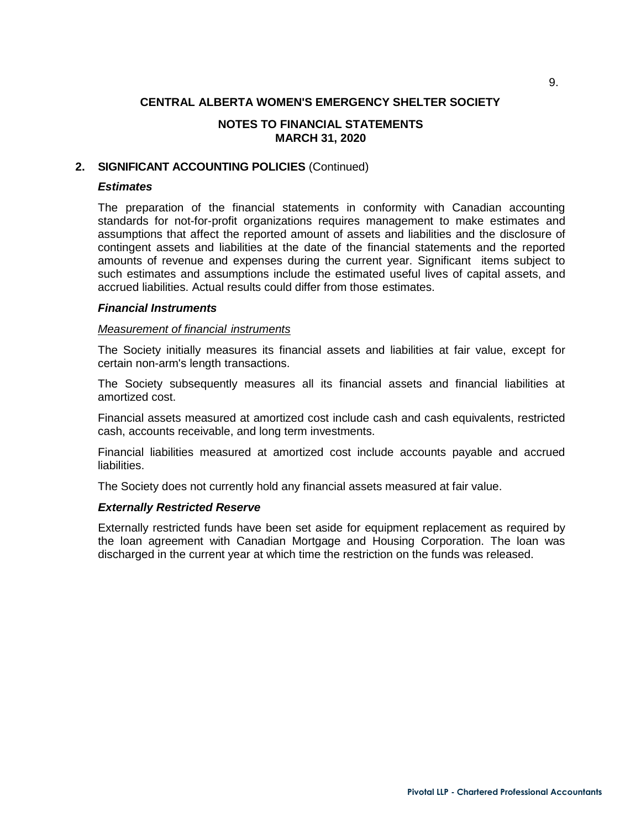# **NOTES TO FINANCIAL STATEMENTS MARCH 31, 2020**

## **2. SIGNIFICANT ACCOUNTING POLICIES** (Continued)

## *Estimates*

The preparation of the financial statements in conformity with Canadian accounting standards for not-for-profit organizations requires management to make estimates and assumptions that affect the reported amount of assets and liabilities and the disclosure of contingent assets and liabilities at the date of the financial statements and the reported amounts of revenue and expenses during the current year. Significant items subject to such estimates and assumptions include the estimated useful lives of capital assets, and accrued liabilities. Actual results could differ from those estimates.

#### *Financial Instruments*

#### *Measurement of financial instruments*

The Society initially measures its financial assets and liabilities at fair value, except for certain non-arm's length transactions.

The Society subsequently measures all its financial assets and financial liabilities at amortized cost.

Financial assets measured at amortized cost include cash and cash equivalents, restricted cash, accounts receivable, and long term investments.

Financial liabilities measured at amortized cost include accounts payable and accrued liabilities.

The Society does not currently hold any financial assets measured at fair value.

#### *Externally Restricted Reserve*

Externally restricted funds have been set aside for equipment replacement as required by the loan agreement with Canadian Mortgage and Housing Corporation. The loan was discharged in the current year at which time the restriction on the funds was released.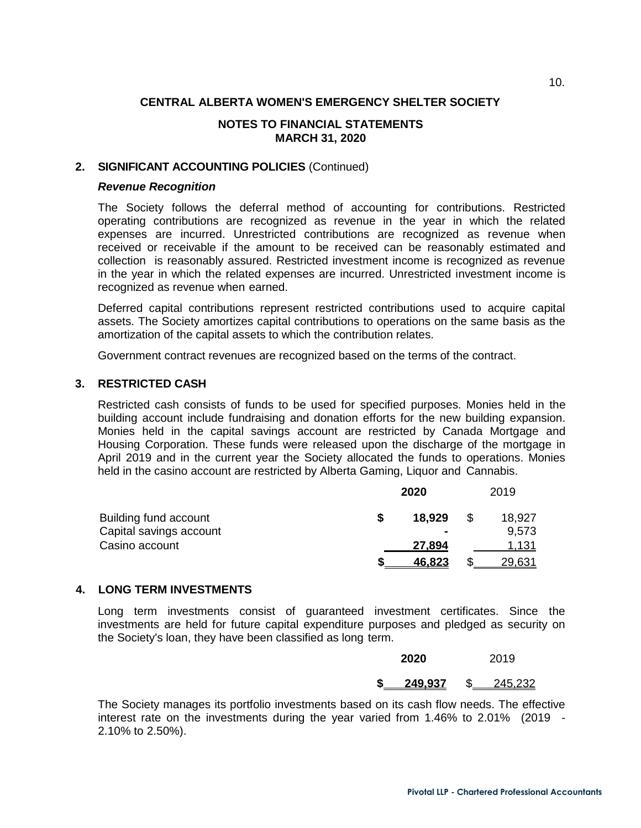# **NOTES TO FINANCIAL STATEMENTS MARCH 31, 2020**

# **2. SIGNIFICANT ACCOUNTING POLICIES** (Continued)

#### *Revenue Recognition*

The Society follows the deferral method of accounting for contributions. Restricted operating contributions are recognized as revenue in the year in which the related expenses are incurred. Unrestricted contributions are recognized as revenue when received or receivable if the amount to be received can be reasonably estimated and collection is reasonably assured. Restricted investment income is recognized as revenue in the year in which the related expenses are incurred. Unrestricted investment income is recognized as revenue when earned.

Deferred capital contributions represent restricted contributions used to acquire capital assets. The Society amortizes capital contributions to operations on the same basis as the amortization of the capital assets to which the contribution relates.

Government contract revenues are recognized based on the terms of the contract.

#### **3. RESTRICTED CASH**

Restricted cash consists of funds to be used for specified purposes. Monies held in the building account include fundraising and donation efforts for the new building expansion. Monies held in the capital savings account are restricted by Canada Mortgage and Housing Corporation. These funds were released upon the discharge of the mortgage in April 2019 and in the current year the Society allocated the funds to operations. Monies held in the casino account are restricted by Alberta Gaming, Liquor and Cannabis.

|                         | 2020           |  |               |
|-------------------------|----------------|--|---------------|
| Building fund account   | 18,929         |  | 18,927        |
| Capital savings account | $\blacksquare$ |  | 9,573         |
| Casino account          | 27,894         |  | 1.131         |
|                         | 46.823         |  | <u>29,631</u> |

#### **4. LONG TERM INVESTMENTS**

Long term investments consist of guaranteed investment certificates. Since the investments are held for future capital expenditure purposes and pledged as security on the Society's loan, they have been classified as long term.

| 2020    | 2019 |         |  |  |
|---------|------|---------|--|--|
| 249.937 |      | 245.232 |  |  |

The Society manages its portfolio investments based on its cash flow needs. The effective interest rate on the investments during the year varied from 1.46% to 2.01% (2019 - 2.10% to 2.50%).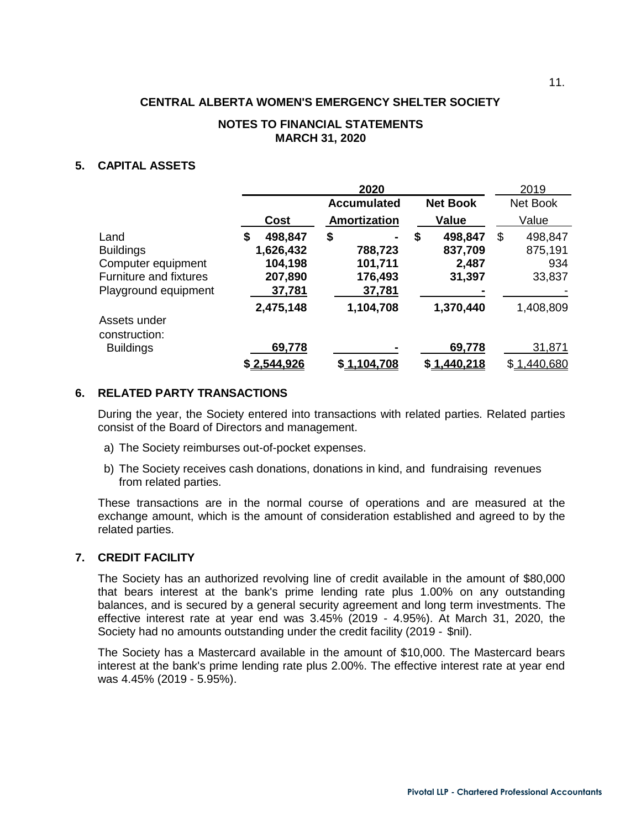#### **NOTES TO FINANCIAL STATEMENTS MARCH 31, 2020**

## **5. CAPITAL ASSETS**

|                                                                                                         |                                                            | 2020                                          |                                             | 2019                                      |
|---------------------------------------------------------------------------------------------------------|------------------------------------------------------------|-----------------------------------------------|---------------------------------------------|-------------------------------------------|
|                                                                                                         |                                                            | <b>Accumulated</b>                            | <b>Net Book</b>                             | Net Book                                  |
|                                                                                                         | <b>Cost</b>                                                | Amortization                                  | <b>Value</b>                                | Value                                     |
| Land<br><b>Buildings</b><br>Computer equipment<br><b>Furniture and fixtures</b><br>Playground equipment | 498,847<br>\$<br>1,626,432<br>104,198<br>207,890<br>37,781 | \$<br>788,723<br>101,711<br>176,493<br>37,781 | 498,847<br>\$<br>837,709<br>2,487<br>31,397 | 498,847<br>\$<br>875,191<br>934<br>33,837 |
|                                                                                                         | 2,475,148                                                  | 1,104,708                                     | 1,370,440                                   | 1,408,809                                 |
| Assets under<br>construction:                                                                           |                                                            |                                               |                                             |                                           |
| <b>Buildings</b>                                                                                        | 69,778                                                     |                                               | 69,778                                      | 31,871                                    |
|                                                                                                         | \$2.544.926                                                | \$1.104.708                                   | \$1.440.218                                 | \$1,440,680                               |

#### **6. RELATED PARTY TRANSACTIONS**

During the year, the Society entered into transactions with related parties. Related parties consist of the Board of Directors and management.

- a) The Society reimburses out-of-pocket expenses.
- b) The Society receives cash donations, donations in kind, and fundraising revenues from related parties.

These transactions are in the normal course of operations and are measured at the exchange amount, which is the amount of consideration established and agreed to by the related parties.

#### **7. CREDIT FACILITY**

The Society has an authorized revolving line of credit available in the amount of \$80,000 that bears interest at the bank's prime lending rate plus 1.00% on any outstanding balances, and is secured by a general security agreement and long term investments. The effective interest rate at year end was 3.45% (2019 - 4.95%). At March 31, 2020, the Society had no amounts outstanding under the credit facility (2019 - \$nil).

The Society has a Mastercard available in the amount of \$10,000. The Mastercard bears interest at the bank's prime lending rate plus 2.00%. The effective interest rate at year end was 4.45% (2019 - 5.95%).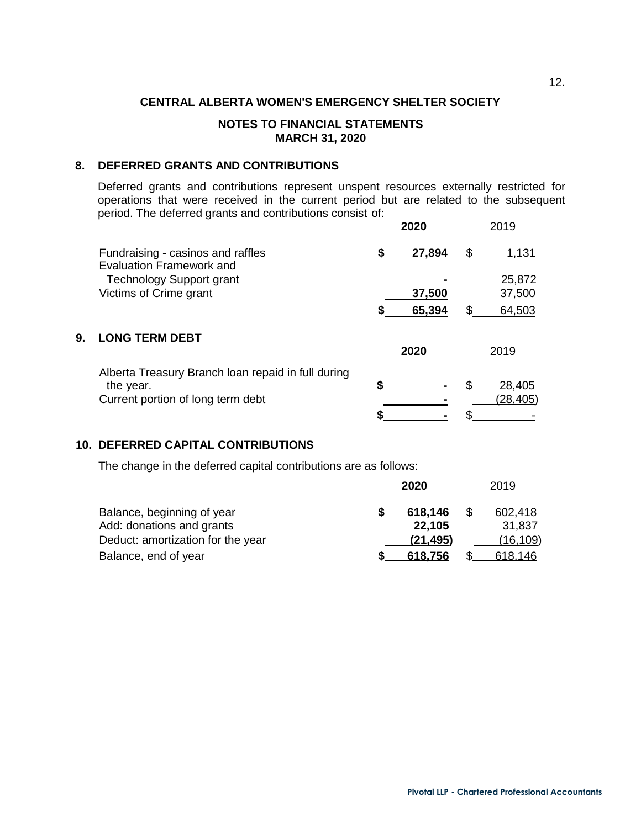## **NOTES TO FINANCIAL STATEMENTS MARCH 31, 2020**

# **8. DEFERRED GRANTS AND CONTRIBUTIONS**

Deferred grants and contributions represent unspent resources externally restricted for operations that were received in the current period but are related to the subsequent period. The deferred grants and contributions consist of:

|    |                                                                      | 2020         |    | 2019     |
|----|----------------------------------------------------------------------|--------------|----|----------|
|    | Fundraising - casinos and raffles<br><b>Evaluation Framework and</b> | \$<br>27,894 | \$ | 1,131    |
|    | <b>Technology Support grant</b>                                      |              |    | 25,872   |
|    | Victims of Crime grant                                               | 37,500       |    | 37,500   |
|    |                                                                      | 65,394       |    | 64,503   |
| 9. | <b>LONG TERM DEBT</b>                                                | 2020         |    | 2019     |
|    |                                                                      |              |    |          |
|    | Alberta Treasury Branch loan repaid in full during<br>the year.      | \$           | S  | 28,405   |
|    | Current portion of long term debt                                    |              |    | (28,405) |
|    |                                                                      |              |    |          |

# **10. DEFERRED CAPITAL CONTRIBUTIONS**

The change in the deferred capital contributions are as follows:

|                                                         | 2020              | 2019              |
|---------------------------------------------------------|-------------------|-------------------|
| Balance, beginning of year<br>Add: donations and grants | 618,146<br>22,105 | 602,418<br>31,837 |
| Deduct: amortization for the year                       | (21, 495)         | (16,109)          |
| Balance, end of year                                    | 618,756           | 618,146           |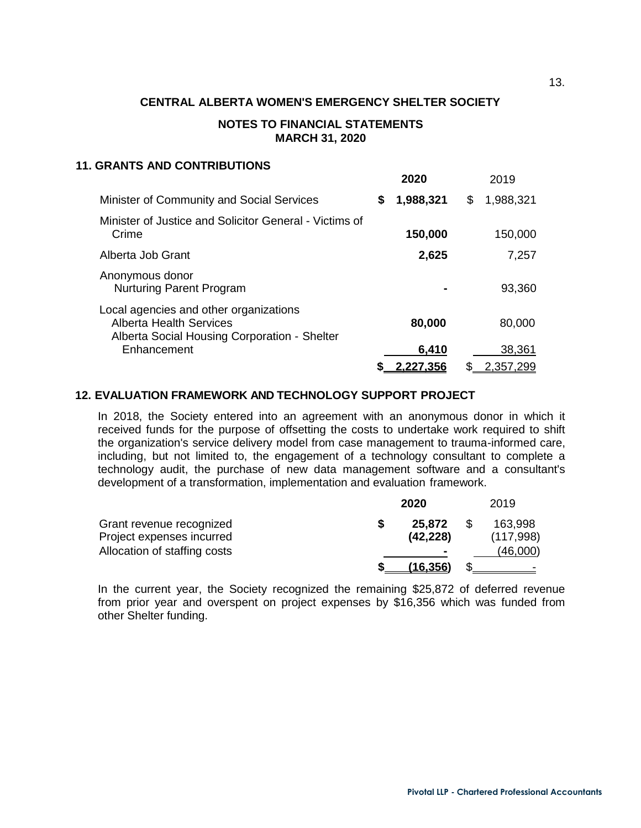## **NOTES TO FINANCIAL STATEMENTS MARCH 31, 2020**

#### **11. GRANTS AND CONTRIBUTIONS**

|                                                                                                                          | 2020            | 2019            |
|--------------------------------------------------------------------------------------------------------------------------|-----------------|-----------------|
| Minister of Community and Social Services                                                                                | \$<br>1,988,321 | \$<br>1,988,321 |
| Minister of Justice and Solicitor General - Victims of<br>Crime                                                          | 150,000         | 150,000         |
| Alberta Job Grant                                                                                                        | 2,625           | 7,257           |
| Anonymous donor<br><b>Nurturing Parent Program</b>                                                                       |                 | 93,360          |
| Local agencies and other organizations<br><b>Alberta Health Services</b><br>Alberta Social Housing Corporation - Shelter | 80,000          | 80,000          |
| Enhancement                                                                                                              | 6,410           | 38,361          |
|                                                                                                                          | 2.227.356       | 2,357,299       |

#### **12. EVALUATION FRAMEWORK AND TECHNOLOGY SUPPORT PROJECT**

In 2018, the Society entered into an agreement with an anonymous donor in which it received funds for the purpose of offsetting the costs to undertake work required to shift the organization's service delivery model from case management to trauma-informed care, including, but not limited to, the engagement of a technology consultant to complete a technology audit, the purchase of new data management software and a consultant's development of a transformation, implementation and evaluation framework.

|                                                       |  | 2019                |  |                      |
|-------------------------------------------------------|--|---------------------|--|----------------------|
| Grant revenue recognized<br>Project expenses incurred |  | 25,872<br>(42, 228) |  | 163,998<br>(117,998) |
| Allocation of staffing costs                          |  |                     |  | (46,000)             |
|                                                       |  | (16.356)            |  |                      |

In the current year, the Society recognized the remaining \$25,872 of deferred revenue from prior year and overspent on project expenses by \$16,356 which was funded from other Shelter funding.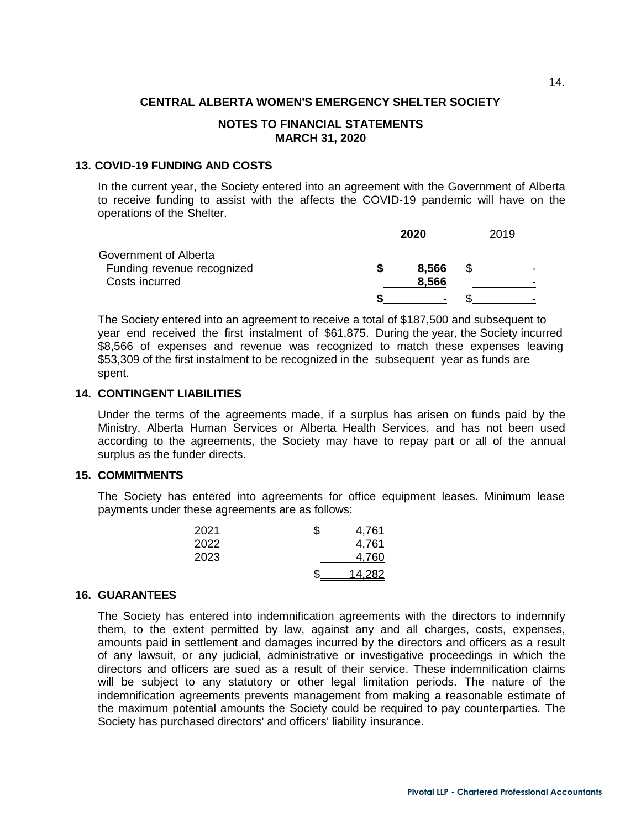#### **NOTES TO FINANCIAL STATEMENTS MARCH 31, 2020**

#### **13. COVID-19 FUNDING AND COSTS**

In the current year, the Society entered into an agreement with the Government of Alberta to receive funding to assist with the affects the COVID-19 pandemic will have on the operations of the Shelter.

|                                                                       | 2020 | 2019           |   |  |  |
|-----------------------------------------------------------------------|------|----------------|---|--|--|
| Government of Alberta<br>Funding revenue recognized<br>Costs incurred |      | 8,566<br>8,566 | S |  |  |
|                                                                       |      | $\blacksquare$ |   |  |  |

The Society entered into an agreement to receive a total of \$187,500 and subsequent to year end received the first instalment of \$61,875. During the year, the Society incurred \$8,566 of expenses and revenue was recognized to match these expenses leaving \$53,309 of the first instalment to be recognized in the subsequent year as funds are spent.

# **14. CONTINGENT LIABILITIES**

Under the terms of the agreements made, if a surplus has arisen on funds paid by the Ministry, Alberta Human Services or Alberta Health Services, and has not been used according to the agreements, the Society may have to repay part or all of the annual surplus as the funder directs.

#### **15. COMMITMENTS**

The Society has entered into agreements for office equipment leases. Minimum lease payments under these agreements are as follows:

| 2021 | 4,761  |
|------|--------|
| 2022 | 4,761  |
| 2023 | 4,760  |
|      | 14,282 |

#### **16. GUARANTEES**

The Society has entered into indemnification agreements with the directors to indemnify them, to the extent permitted by law, against any and all charges, costs, expenses, amounts paid in settlement and damages incurred by the directors and officers as a result of any lawsuit, or any judicial, administrative or investigative proceedings in which the directors and officers are sued as a result of their service. These indemnification claims will be subject to any statutory or other legal limitation periods. The nature of the indemnification agreements prevents management from making a reasonable estimate of the maximum potential amounts the Society could be required to pay counterparties. The Society has purchased directors' and officers' liability insurance.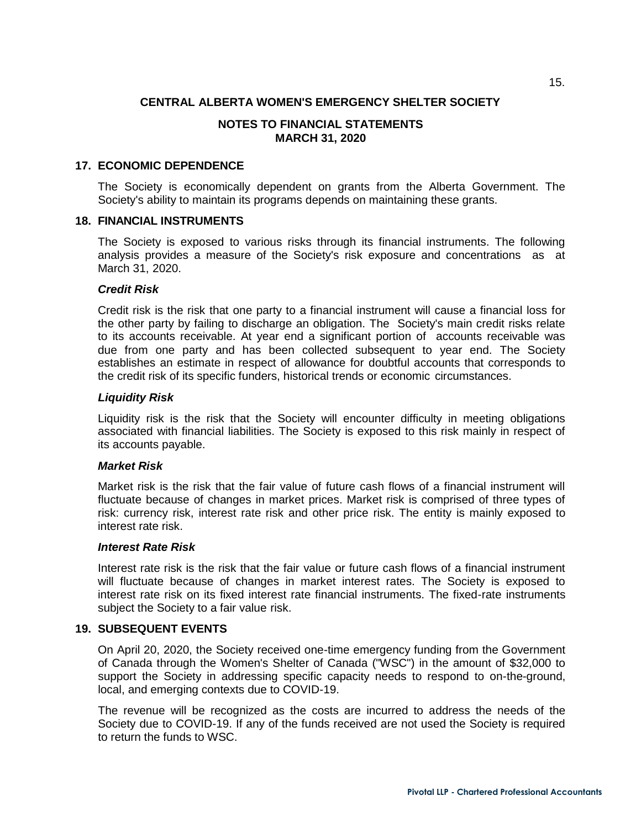## **NOTES TO FINANCIAL STATEMENTS MARCH 31, 2020**

#### **17. ECONOMIC DEPENDENCE**

The Society is economically dependent on grants from the Alberta Government. The Society's ability to maintain its programs depends on maintaining these grants.

#### **18. FINANCIAL INSTRUMENTS**

The Society is exposed to various risks through its financial instruments. The following analysis provides a measure of the Society's risk exposure and concentrations as at March 31, 2020.

#### *Credit Risk*

Credit risk is the risk that one party to a financial instrument will cause a financial loss for the other party by failing to discharge an obligation. The Society's main credit risks relate to its accounts receivable. At year end a significant portion of accounts receivable was due from one party and has been collected subsequent to year end. The Society establishes an estimate in respect of allowance for doubtful accounts that corresponds to the credit risk of its specific funders, historical trends or economic circumstances.

#### *Liquidity Risk*

Liquidity risk is the risk that the Society will encounter difficulty in meeting obligations associated with financial liabilities. The Society is exposed to this risk mainly in respect of its accounts payable.

#### *Market Risk*

Market risk is the risk that the fair value of future cash flows of a financial instrument will fluctuate because of changes in market prices. Market risk is comprised of three types of risk: currency risk, interest rate risk and other price risk. The entity is mainly exposed to interest rate risk.

#### *Interest Rate Risk*

Interest rate risk is the risk that the fair value or future cash flows of a financial instrument will fluctuate because of changes in market interest rates. The Society is exposed to interest rate risk on its fixed interest rate financial instruments. The fixed-rate instruments subject the Society to a fair value risk.

#### **19. SUBSEQUENT EVENTS**

On April 20, 2020, the Society received one-time emergency funding from the Government of Canada through the Women's Shelter of Canada ("WSC") in the amount of \$32,000 to support the Society in addressing specific capacity needs to respond to on-the-ground, local, and emerging contexts due to COVID-19.

The revenue will be recognized as the costs are incurred to address the needs of the Society due to COVID-19. If any of the funds received are not used the Society is required to return the funds to WSC.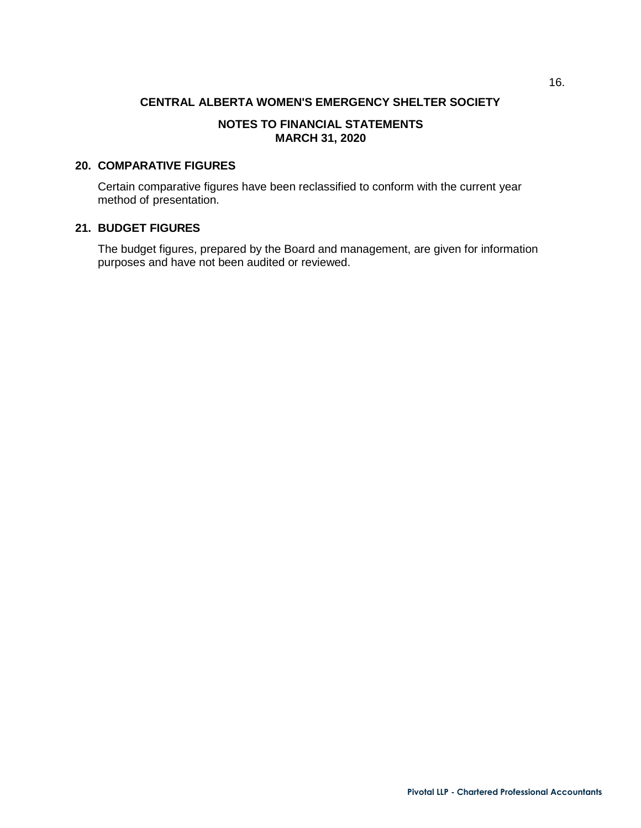## **NOTES TO FINANCIAL STATEMENTS MARCH 31, 2020**

#### **20. COMPARATIVE FIGURES**

Certain comparative figures have been reclassified to conform with the current year method of presentation.

# **21. BUDGET FIGURES**

The budget figures, prepared by the Board and management, are given for information purposes and have not been audited or reviewed.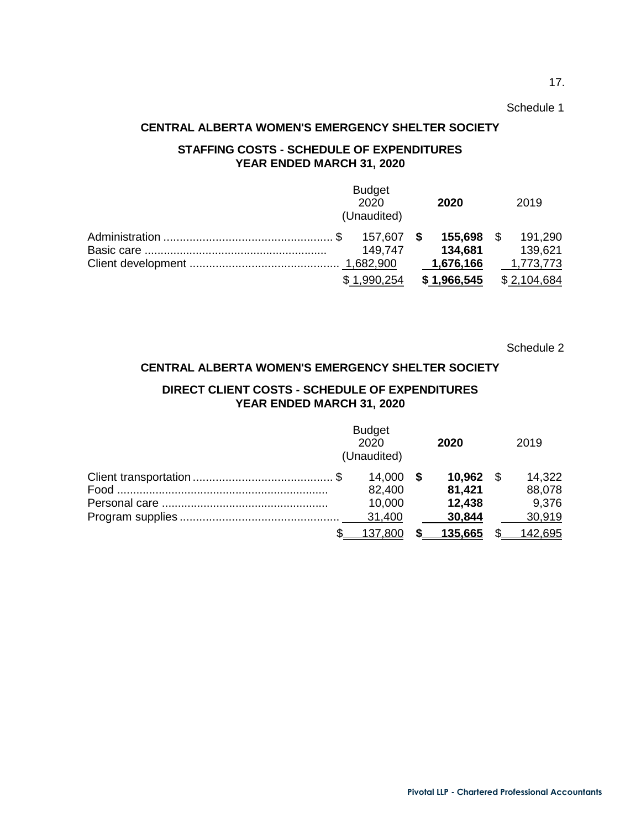#### Schedule 1

17.

# **CENTRAL ALBERTA WOMEN'S EMERGENCY SHELTER SOCIETY**

# **STAFFING COSTS - SCHEDULE OF EXPENDITURES YEAR ENDED MARCH 31, 2020**

|  |  | <b>Budget</b><br>2020<br>(Unaudited) | 2020        | 2019 |             |
|--|--|--------------------------------------|-------------|------|-------------|
|  |  | 157,607 \$                           | 155,698 \$  |      | 191,290     |
|  |  | 149.747                              | 134,681     |      | 139,621     |
|  |  |                                      | 1,676,166   |      | 1,773,773   |
|  |  | \$1.990.254                          | \$1,966,545 |      | \$2,104,684 |

Schedule 2

#### **CENTRAL ALBERTA WOMEN'S EMERGENCY SHELTER SOCIETY**

# **DIRECT CLIENT COSTS - SCHEDULE OF EXPENDITURES YEAR ENDED MARCH 31, 2020**

|  | <b>Budget</b><br>2020<br>(Unaudited)      | 2020                                    | 2019                                |
|--|-------------------------------------------|-----------------------------------------|-------------------------------------|
|  | $14.000$ \$<br>82,400<br>10,000<br>31,400 | 10,962 \$<br>81,421<br>12,438<br>30,844 | 14.322<br>88,078<br>9,376<br>30,919 |
|  | 137.800                                   | 135,665                                 | 142,695                             |